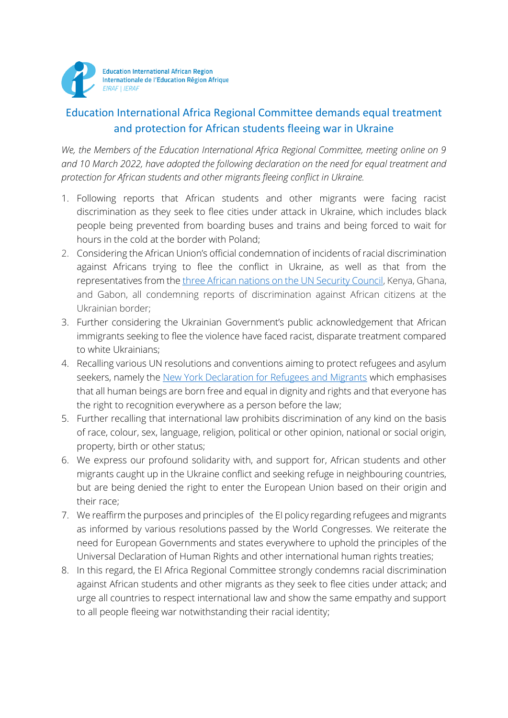

## Education International Africa Regional Committee demands equal treatment and protection for African students fleeing war in Ukraine

*We, the Members of the Education International Africa Regional Committee, meeting online on 9 and 10 March 2022, have adopted the following declaration on the need for equal treatment and protection for African students and other migrants fleeing conflict in Ukraine.*

- 1. Following reports that African students and other migrants were facing racist discrimination as they seek to flee cities under attack in Ukraine, which includes black people being prevented from boarding buses and trains and being forced to wait for hours in the cold at the border with Poland;
- 2. Considering the African Union's official condemnation of incidents of racial discrimination against Africans trying to flee the conflict in Ukraine, as well as that from the representatives from the [three African nations on the UN Security Council,](https://edition.cnn.com/2022/03/01/africa/africa-condemns-racism-ukraine-intl/index.html) Kenya, Ghana, and Gabon, all condemning reports of discrimination against African citizens at the Ukrainian border;
- 3. Further considering the Ukrainian Government's public acknowledgement that African immigrants seeking to flee the violence have faced racist, disparate treatment compared to white Ukrainians;
- 4. Recalling various UN resolutions and conventions aiming to protect refugees and asylum seekers, namely the [New York Declaration for Refugees and Migrants](https://www.un.org/en/ga/search/view_doc.asp?symbol=A/RES/71/1&=E%20) which emphasises that all human beings are born free and equal in dignity and rights and that everyone has the right to recognition everywhere as a person before the law;
- 5. Further recalling that international law prohibits discrimination of any kind on the basis of race, colour, sex, language, religion, political or other opinion, national or social origin, property, birth or other status;
- 6. We express our profound solidarity with, and support for, African students and other migrants caught up in the Ukraine conflict and seeking refuge in neighbouring countries, but are being denied the right to enter the European Union based on their origin and their race;
- 7. We reaffirm the purposes and principles of the EI policy regarding refugees and migrants as informed by various resolutions passed by the World Congresses. We reiterate the need for European Governments and states everywhere to uphold the principles of the Universal Declaration of Human Rights and other international human rights treaties;
- 8. In this regard, the EI Africa Regional Committee strongly condemns racial discrimination against African students and other migrants as they seek to flee cities under attack; and urge all countries to respect international law and show the same empathy and support to all people fleeing war notwithstanding their racial identity;